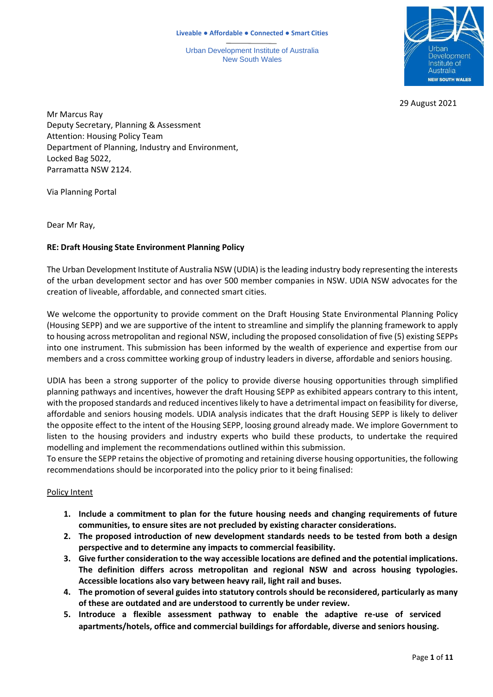Urban Development Institute of Australia New South Wales



29 August 2021

Mr Marcus Ray Deputy Secretary, Planning & Assessment Attention: Housing Policy Team Department of Planning, Industry and Environment, Locked Bag 5022, Parramatta NSW 2124.

Via Planning Portal

Dear Mr Ray,

### **RE: Draft Housing State Environment Planning Policy**

The Urban Development Institute of Australia NSW (UDIA) isthe leading industry body representing the interests of the urban development sector and has over 500 member companies in NSW. UDIA NSW advocates for the creation of liveable, affordable, and connected smart cities.

We welcome the opportunity to provide comment on the Draft Housing State Environmental Planning Policy (Housing SEPP) and we are supportive of the intent to streamline and simplify the planning framework to apply to housing across metropolitan and regional NSW, including the proposed consolidation of five (5) existing SEPPs into one instrument. This submission has been informed by the wealth of experience and expertise from our members and a cross committee working group of industry leaders in diverse, affordable and seniors housing.

UDIA has been a strong supporter of the policy to provide diverse housing opportunities through simplified planning pathways and incentives, however the draft Housing SEPP as exhibited appears contrary to this intent, with the proposed standards and reduced incentives likely to have a detrimental impact on feasibility for diverse, affordable and seniors housing models. UDIA analysis indicates that the draft Housing SEPP is likely to deliver the opposite effect to the intent of the Housing SEPP, loosing ground already made. We implore Government to listen to the housing providers and industry experts who build these products, to undertake the required modelling and implement the recommendations outlined within this submission.

To ensure the SEPP retainsthe objective of promoting and retaining diverse housing opportunities, the following recommendations should be incorporated into the policy prior to it being finalised:

### Policy Intent

- **1. Include a commitment to plan for the future housing needs and changing requirements of future communities, to ensure sites are not precluded by existing character considerations.**
- **2. The proposed introduction of new development standards needs to be tested from both a design perspective and to determine any impacts to commercial feasibility.**
- **3. Give further consideration to the way accessible locations are defined and the potential implications. The definition differs across metropolitan and regional NSW and across housing typologies. Accessible locations also vary between heavy rail, light rail and buses.**
- **4. The promotion of several guides into statutory controls should be reconsidered, particularly as many of these are outdated and are understood to currently be under review.**
- **5. Introduce a flexible assessment pathway to enable the adaptive re-use of serviced apartments/hotels, office and commercial buildings for affordable, diverse and seniors housing.**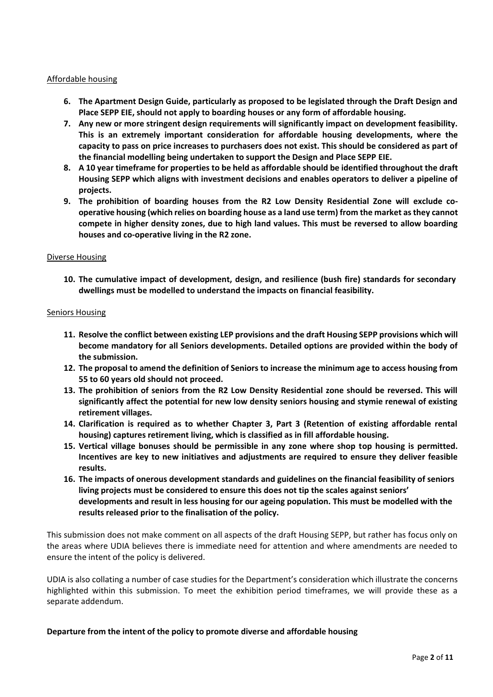#### Affordable housing

- **6. The Apartment Design Guide, particularly as proposed to be legislated through the Draft Design and Place SEPP EIE, should not apply to boarding houses or any form of affordable housing.**
- **7. Any new or more stringent design requirements will significantly impact on development feasibility. This is an extremely important consideration for affordable housing developments, where the capacity to pass on price increases to purchasers does not exist. This should be considered as part of the financial modelling being undertaken to support the Design and Place SEPP EIE.**
- 8. A 10 year timeframe for properties to be held as affordable should be identified throughout the draft **Housing SEPP which aligns with investment decisions and enables operators to deliver a pipeline of projects.**
- **9. The prohibition of boarding houses from the R2 Low Density Residential Zone will exclude cooperative housing (which relies on boarding house as a land use term) from the market asthey cannot compete in higher density zones, due to high land values. This must be reversed to allow boarding houses and co-operative living in the R2 zone.**

#### Diverse Housing

**10. The cumulative impact of development, design, and resilience (bush fire) standards for secondary dwellings must be modelled to understand the impacts on financial feasibility.**

#### Seniors Housing

- **11. Resolve the conflict between existing LEP provisions and the draft Housing SEPP provisions which will become mandatory for all Seniors developments. Detailed options are provided within the body of the submission.**
- 12. The proposal to amend the definition of Seniors to increase the minimum age to access housing from **55 to 60 years old should not proceed.**
- **13. The prohibition of seniors from the R2 Low Density Residential zone should be reversed. This will significantly affect the potential for new low density seniors housing and stymie renewal of existing retirement villages.**
- **14. Clarification is required as to whether Chapter 3, Part 3 (Retention of existing affordable rental housing) captures retirement living, which is classified as in fill affordable housing.**
- **15. Vertical village bonuses should be permissible in any zone where shop top housing is permitted. Incentives are key to new initiatives and adjustments are required to ensure they deliver feasible results.**
- **16. The impacts of onerous development standards and guidelines on the financial feasibility of seniors living projects must be considered to ensure this does not tip the scales against seniors' developments and result in less housing for our ageing population. This must be modelled with the results released prior to the finalisation of the policy.**

This submission does not make comment on all aspects of the draft Housing SEPP, but rather has focus only on the areas where UDIA believes there is immediate need for attention and where amendments are needed to ensure the intent of the policy is delivered.

UDIA is also collating a number of case studies for the Department's consideration which illustrate the concerns highlighted within this submission. To meet the exhibition period timeframes, we will provide these as a separate addendum.

### **Departure from the intent of the policy to promote diverse and affordable housing**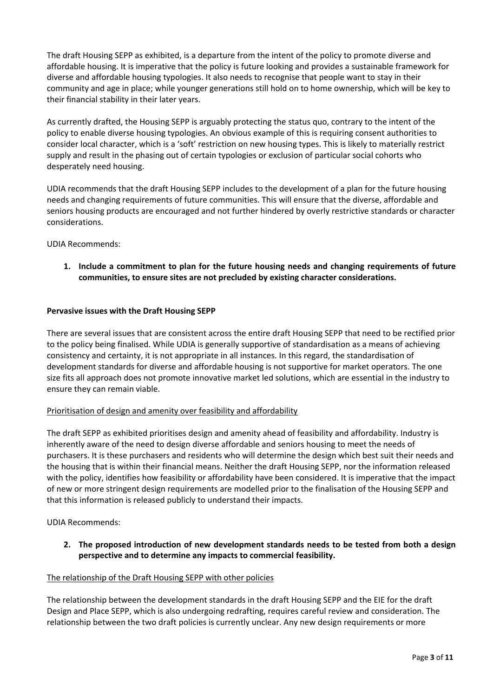The draft Housing SEPP as exhibited, is a departure from the intent of the policy to promote diverse and affordable housing. It is imperative that the policy is future looking and provides a sustainable framework for diverse and affordable housing typologies. It also needs to recognise that people want to stay in their community and age in place; while younger generations still hold on to home ownership, which will be key to their financial stability in their later years.

As currently drafted, the Housing SEPP is arguably protecting the status quo, contrary to the intent of the policy to enable diverse housing typologies. An obvious example of this is requiring consent authorities to consider local character, which is a 'soft' restriction on new housing types. This is likely to materially restrict supply and result in the phasing out of certain typologies or exclusion of particular social cohorts who desperately need housing.

UDIA recommends that the draft Housing SEPP includes to the development of a plan for the future housing needs and changing requirements of future communities. This will ensure that the diverse, affordable and seniors housing products are encouraged and not further hindered by overly restrictive standards or character considerations.

UDIA Recommends:

**1. Include a commitment to plan for the future housing needs and changing requirements of future communities, to ensure sites are not precluded by existing character considerations.**

## **Pervasive issues with the Draft Housing SEPP**

There are several issues that are consistent across the entire draft Housing SEPP that need to be rectified prior to the policy being finalised. While UDIA is generally supportive of standardisation as a means of achieving consistency and certainty, it is not appropriate in all instances. In this regard, the standardisation of development standards for diverse and affordable housing is not supportive for market operators. The one size fits all approach does not promote innovative market led solutions, which are essential in the industry to ensure they can remain viable.

### Prioritisation of design and amenity over feasibility and affordability

The draft SEPP as exhibited prioritises design and amenity ahead of feasibility and affordability. Industry is inherently aware of the need to design diverse affordable and seniors housing to meet the needs of purchasers. It is these purchasers and residents who will determine the design which best suit their needs and the housing that is within their financial means. Neither the draft Housing SEPP, nor the information released with the policy, identifies how feasibility or affordability have been considered. It is imperative that the impact of new or more stringent design requirements are modelled prior to the finalisation of the Housing SEPP and that this information is released publicly to understand their impacts.

UDIA Recommends:

**2. The proposed introduction of new development standards needs to be tested from both a design perspective and to determine any impacts to commercial feasibility.**

### The relationship of the Draft Housing SEPP with other policies

The relationship between the development standards in the draft Housing SEPP and the EIE for the draft Design and Place SEPP, which is also undergoing redrafting, requires careful review and consideration. The relationship between the two draft policies is currently unclear. Any new design requirements or more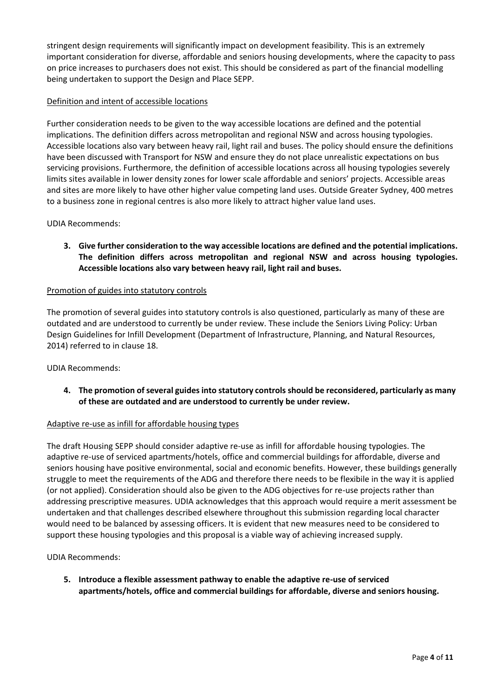stringent design requirements will significantly impact on development feasibility. This is an extremely important consideration for diverse, affordable and seniors housing developments, where the capacity to pass on price increases to purchasers does not exist. This should be considered as part of the financial modelling being undertaken to support the Design and Place SEPP.

# Definition and intent of accessible locations

Further consideration needs to be given to the way accessible locations are defined and the potential implications. The definition differs across metropolitan and regional NSW and across housing typologies. Accessible locations also vary between heavy rail, light rail and buses. The policy should ensure the definitions have been discussed with Transport for NSW and ensure they do not place unrealistic expectations on bus servicing provisions. Furthermore, the definition of accessible locations across all housing typologies severely limits sites available in lower density zones for lower scale affordable and seniors' projects. Accessible areas and sites are more likely to have other higher value competing land uses. Outside Greater Sydney, 400 metres to a business zone in regional centres is also more likely to attract higher value land uses.

## UDIA Recommends:

**3. Give further consideration to the way accessible locations are defined and the potential implications. The definition differs across metropolitan and regional NSW and across housing typologies. Accessible locations also vary between heavy rail, light rail and buses.**

### Promotion of guides into statutory controls

The promotion of several guides into statutory controls is also questioned, particularly as many of these are outdated and are understood to currently be under review. These include the Seniors Living Policy: Urban Design Guidelines for Infill Development (Department of Infrastructure, Planning, and Natural Resources, 2014) referred to in clause 18.

### UDIA Recommends:

**4. The promotion ofseveral guides into statutory controls should be reconsidered, particularly as many of these are outdated and are understood to currently be under review.**

### Adaptive re-use as infill for affordable housing types

The draft Housing SEPP should consider adaptive re-use as infill for affordable housing typologies. The adaptive re-use of serviced apartments/hotels, office and commercial buildings for affordable, diverse and seniors housing have positive environmental, social and economic benefits. However, these buildings generally struggle to meet the requirements of the ADG and therefore there needs to be flexibile in the way it is applied (or not applied). Consideration should also be given to the ADG objectives for re-use projects rather than addressing prescriptive measures. UDIA acknowledges that this approach would require a merit assessment be undertaken and that challenges described elsewhere throughout this submission regarding local character would need to be balanced by assessing officers. It is evident that new measures need to be considered to support these housing typologies and this proposal is a viable way of achieving increased supply.

UDIA Recommends:

**5. Introduce a flexible assessment pathway to enable the adaptive re-use of serviced apartments/hotels, office and commercial buildings for affordable, diverse and seniors housing.**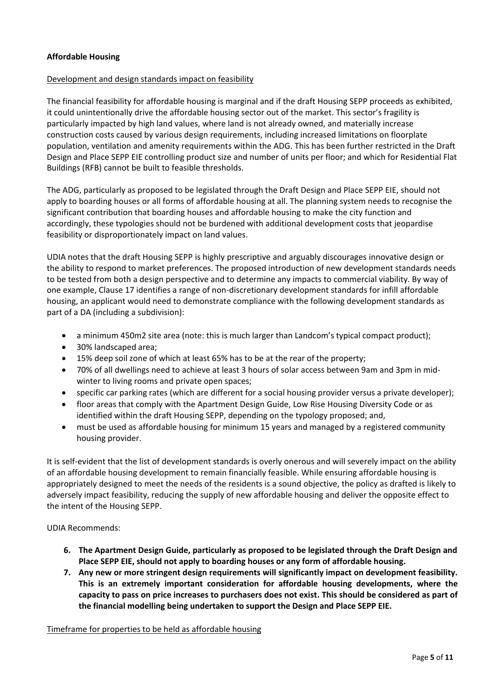### **Affordable Housing**

### Development and design standards impact on feasibility

The financial feasibility for affordable housing is marginal and if the draft Housing SEPP proceeds as exhibited, it could unintentionally drive the affordable housing sector out of the market. This sector's fragility is particularly impacted by high land values, where land is not already owned, and materially increase construction costs caused by various design requirements, including increased limitations on floorplate population, ventilation and amenity requirements within the ADG. This has been further restricted in the Draft Design and Place SEPP EIE controlling product size and number of units per floor; and which for Residential Flat Buildings (RFB) cannot be built to feasible thresholds.

The ADG, particularly as proposed to be legislated through the Draft Design and Place SEPP EIE, should not apply to boarding houses or all forms of affordable housing at all. The planning system needs to recognise the significant contribution that boarding houses and affordable housing to make the city function and accordingly, these typologies should not be burdened with additional development costs that jeopardise feasibility or disproportionately impact on land values.

UDIA notes that the draft Housing SEPP is highly prescriptive and arguably discourages innovative design or the ability to respond to market preferences. The proposed introduction of new development standards needs to be tested from both a design perspective and to determine any impacts to commercial viability. By way of one example, Clause 17 identifies a range of non-discretionary development standards for infill affordable housing, an applicant would need to demonstrate compliance with the following development standards as part of a DA (including a subdivision):

- a minimum 450m2 site area (note: this is much larger than Landcom's typical compact product);
- 30% landscaped area;
- 15% deep soil zone of which at least 65% has to be at the rear of the property;
- 70% of all dwellings need to achieve at least 3 hours of solar access between 9am and 3pm in midwinter to living rooms and private open spaces;
- specific car parking rates (which are different for a social housing provider versus a private developer);
- floor areas that comply with the Apartment Design Guide, Low Rise Housing Diversity Code or as identified within the draft Housing SEPP, depending on the typology proposed; and,
- must be used as affordable housing for minimum 15 years and managed by a registered community housing provider.

It is self-evident that the list of development standards is overly onerous and will severely impact on the ability of an affordable housing development to remain financially feasible. While ensuring affordable housing is appropriately designed to meet the needs of the residents is a sound objective, the policy as drafted is likely to adversely impact feasibility, reducing the supply of new affordable housing and deliver the opposite effect to the intent of the Housing SEPP.

UDIA Recommends:

- **6. The Apartment Design Guide, particularly as proposed to be legislated through the Draft Design and Place SEPP EIE, should not apply to boarding houses or any form of affordable housing.**
- **7. Any new or more stringent design requirements will significantly impact on development feasibility. This is an extremely important consideration for affordable housing developments, where the capacity to pass on price increases to purchasers does not exist. This should be considered as part of the financial modelling being undertaken to support the Design and Place SEPP EIE.**

### Timeframe for properties to be held as affordable housing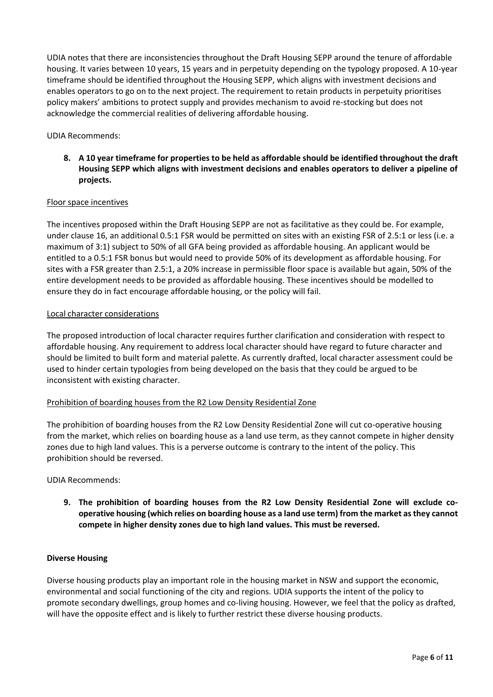UDIA notes that there are inconsistencies throughout the Draft Housing SEPP around the tenure of affordable housing. It varies between 10 years, 15 years and in perpetuity depending on the typology proposed. A 10-year timeframe should be identified throughout the Housing SEPP, which aligns with investment decisions and enables operators to go on to the next project. The requirement to retain products in perpetuity prioritises policy makers' ambitions to protect supply and provides mechanism to avoid re-stocking but does not acknowledge the commercial realities of delivering affordable housing.

UDIA Recommends:

8. A 10 year timeframe for properties to be held as affordable should be identified throughout the draft **Housing SEPP which aligns with investment decisions and enables operators to deliver a pipeline of projects.**

### Floor space incentives

The incentives proposed within the Draft Housing SEPP are not as facilitative as they could be. For example, under clause 16, an additional 0.5:1 FSR would be permitted on sites with an existing FSR of 2.5:1 or less (i.e. a maximum of 3:1) subject to 50% of all GFA being provided as affordable housing. An applicant would be entitled to a 0.5:1 FSR bonus but would need to provide 50% of its development as affordable housing. For sites with a FSR greater than 2.5:1, a 20% increase in permissible floor space is available but again, 50% of the entire development needs to be provided as affordable housing. These incentives should be modelled to ensure they do in fact encourage affordable housing, or the policy will fail.

### Local character considerations

The proposed introduction of local character requires further clarification and consideration with respect to affordable housing. Any requirement to address local character should have regard to future character and should be limited to built form and material palette. As currently drafted, local character assessment could be used to hinder certain typologies from being developed on the basis that they could be argued to be inconsistent with existing character.

# Prohibition of boarding houses from the R2 Low Density Residential Zone

The prohibition of boarding houses from the R2 Low Density Residential Zone will cut co-operative housing from the market, which relies on boarding house as a land use term, as they cannot compete in higher density zones due to high land values. This is a perverse outcome is contrary to the intent of the policy. This prohibition should be reversed.

UDIA Recommends:

**9. The prohibition of boarding houses from the R2 Low Density Residential Zone will exclude cooperative housing (which relies on boarding house as a land use term) from the market asthey cannot compete in higher density zones due to high land values. This must be reversed.**

### **Diverse Housing**

Diverse housing products play an important role in the housing market in NSW and support the economic, environmental and social functioning of the city and regions. UDIA supports the intent of the policy to promote secondary dwellings, group homes and co-living housing. However, we feel that the policy as drafted, will have the opposite effect and is likely to further restrict these diverse housing products.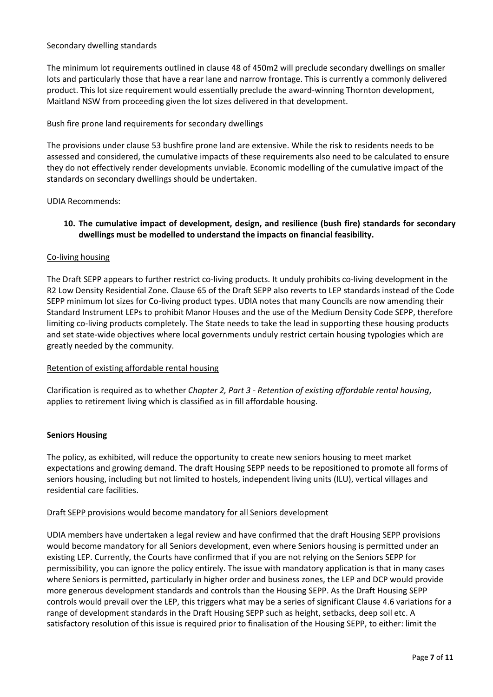## Secondary dwelling standards

The minimum lot requirements outlined in clause 48 of 450m2 will preclude secondary dwellings on smaller lots and particularly those that have a rear lane and narrow frontage. This is currently a commonly delivered product. This lot size requirement would essentially preclude the award-winning Thornton development, Maitland NSW from proceeding given the lot sizes delivered in that development.

## Bush fire prone land requirements for secondary dwellings

The provisions under clause 53 bushfire prone land are extensive. While the risk to residents needs to be assessed and considered, the cumulative impacts of these requirements also need to be calculated to ensure they do not effectively render developments unviable. Economic modelling of the cumulative impact of the standards on secondary dwellings should be undertaken.

### UDIA Recommends:

# **10. The cumulative impact of development, design, and resilience (bush fire) standards for secondary dwellings must be modelled to understand the impacts on financial feasibility.**

## Co-living housing

The Draft SEPP appears to further restrict co-living products. It unduly prohibits co-living development in the R2 Low Density Residential Zone. Clause 65 of the Draft SEPP also reverts to LEP standards instead of the Code SEPP minimum lot sizes for Co-living product types. UDIA notes that many Councils are now amending their Standard Instrument LEPs to prohibit Manor Houses and the use of the Medium Density Code SEPP, therefore limiting co-living products completely. The State needs to take the lead in supporting these housing products and set state-wide objectives where local governments unduly restrict certain housing typologies which are greatly needed by the community.

### Retention of existing affordable rental housing

Clarification is required as to whether *Chapter 2, Part 3 - Retention of existing affordable rental housing*, applies to retirement living which is classified as in fill affordable housing.

### **Seniors Housing**

The policy, as exhibited, will reduce the opportunity to create new seniors housing to meet market expectations and growing demand. The draft Housing SEPP needs to be repositioned to promote all forms of seniors housing, including but not limited to hostels, independent living units (ILU), vertical villages and residential care facilities.

### Draft SEPP provisions would become mandatory for all Seniors development

UDIA members have undertaken a legal review and have confirmed that the draft Housing SEPP provisions would become mandatory for all Seniors development, even where Seniors housing is permitted under an existing LEP. Currently, the Courts have confirmed that if you are not relying on the Seniors SEPP for permissibility, you can ignore the policy entirely. The issue with mandatory application is that in many cases where Seniors is permitted, particularly in higher order and business zones, the LEP and DCP would provide more generous development standards and controls than the Housing SEPP. As the Draft Housing SEPP controls would prevail over the LEP, this triggers what may be a series of significant Clause 4.6 variations for a range of development standards in the Draft Housing SEPP such as height, setbacks, deep soil etc. A satisfactory resolution of this issue is required prior to finalisation of the Housing SEPP, to either: limit the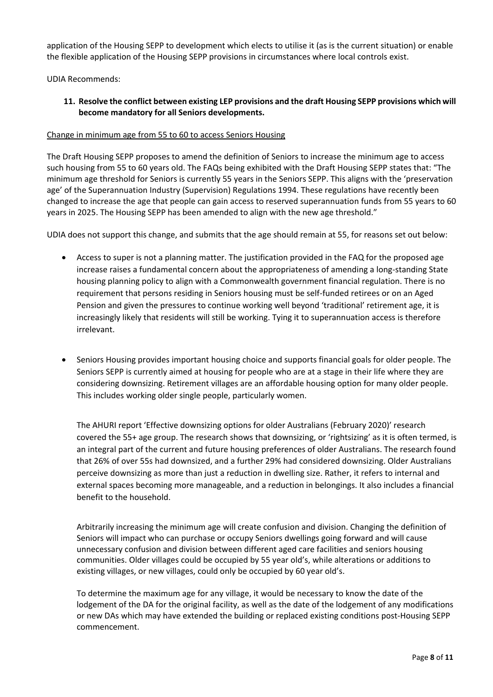application of the Housing SEPP to development which elects to utilise it (as is the current situation) or enable the flexible application of the Housing SEPP provisions in circumstances where local controls exist.

UDIA Recommends:

## **11. Resolve the conflict between existing LEP provisions and the draft Housing SEPP provisions which will become mandatory for all Seniors developments.**

### Change in minimum age from 55 to 60 to access Seniors Housing

The Draft Housing SEPP proposes to amend the definition of Seniors to increase the minimum age to access such housing from 55 to 60 years old. The FAQs being exhibited with the Draft Housing SEPP states that: "The minimum age threshold for Seniors is currently 55 years in the Seniors SEPP. This aligns with the 'preservation age' of the Superannuation Industry (Supervision) Regulations 1994. These regulations have recently been changed to increase the age that people can gain access to reserved superannuation funds from 55 years to 60 years in 2025. The Housing SEPP has been amended to align with the new age threshold."

UDIA does not support this change, and submits that the age should remain at 55, for reasons set out below:

- Access to super is not a planning matter. The justification provided in the FAQ for the proposed age increase raises a fundamental concern about the appropriateness of amending a long-standing State housing planning policy to align with a Commonwealth government financial regulation. There is no requirement that persons residing in Seniors housing must be self-funded retirees or on an Aged Pension and given the pressures to continue working well beyond 'traditional' retirement age, it is increasingly likely that residents will still be working. Tying it to superannuation access is therefore irrelevant.
- Seniors Housing provides important housing choice and supports financial goals for older people. The Seniors SEPP is currently aimed at housing for people who are at a stage in their life where they are considering downsizing. Retirement villages are an affordable housing option for many older people. This includes working older single people, particularly women.

The AHURI report 'Effective downsizing options for older Australians (February 2020)' research covered the 55+ age group. The research shows that downsizing, or 'rightsizing' as it is often termed, is an integral part of the current and future housing preferences of older Australians. The research found that 26% of over 55s had downsized, and a further 29% had considered downsizing. Older Australians perceive downsizing as more than just a reduction in dwelling size. Rather, it refers to internal and external spaces becoming more manageable, and a reduction in belongings. It also includes a financial benefit to the household.

Arbitrarily increasing the minimum age will create confusion and division. Changing the definition of Seniors will impact who can purchase or occupy Seniors dwellings going forward and will cause unnecessary confusion and division between different aged care facilities and seniors housing communities. Older villages could be occupied by 55 year old's, while alterations or additions to existing villages, or new villages, could only be occupied by 60 year old's.

To determine the maximum age for any village, it would be necessary to know the date of the lodgement of the DA for the original facility, as well as the date of the lodgement of any modifications or new DAs which may have extended the building or replaced existing conditions post-Housing SEPP commencement.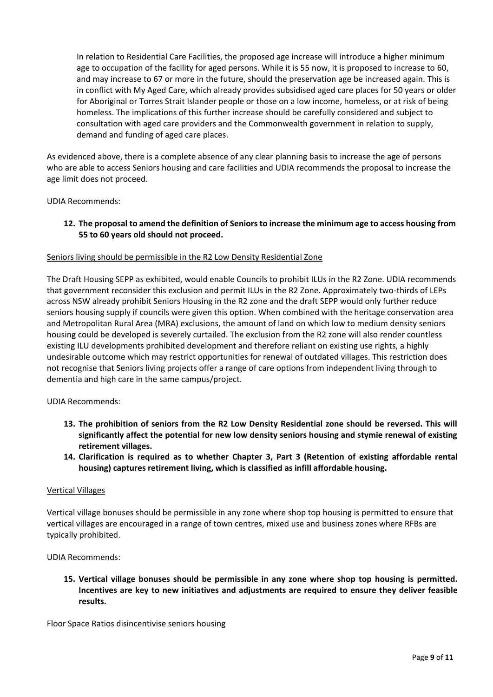In relation to Residential Care Facilities, the proposed age increase will introduce a higher minimum age to occupation of the facility for aged persons. While it is 55 now, it is proposed to increase to 60, and may increase to 67 or more in the future, should the preservation age be increased again. This is in conflict with My Aged Care, which already provides subsidised aged care places for 50 years or older for Aboriginal or Torres Strait Islander people or those on a low income, homeless, or at risk of being homeless. The implications of this further increase should be carefully considered and subject to consultation with aged care providers and the Commonwealth government in relation to supply, demand and funding of aged care places.

As evidenced above, there is a complete absence of any clear planning basis to increase the age of persons who are able to access Seniors housing and care facilities and UDIA recommends the proposal to increase the age limit does not proceed.

UDIA Recommends:

12. The proposal to amend the definition of Seniors to increase the minimum age to access housing from **55 to 60 years old should not proceed.**

## Seniors living should be permissible in the R2 Low Density Residential Zone

The Draft Housing SEPP as exhibited, would enable Councils to prohibit ILUs in the R2 Zone. UDIA recommends that government reconsider this exclusion and permit ILUs in the R2 Zone. Approximately two-thirds of LEPs across NSW already prohibit Seniors Housing in the R2 zone and the draft SEPP would only further reduce seniors housing supply if councils were given this option. When combined with the heritage conservation area and Metropolitan Rural Area (MRA) exclusions, the amount of land on which low to medium density seniors housing could be developed is severely curtailed. The exclusion from the R2 zone will also render countless existing ILU developments prohibited development and therefore reliant on existing use rights, a highly undesirable outcome which may restrict opportunities for renewal of outdated villages. This restriction does not recognise that Seniors living projects offer a range of care options from independent living through to dementia and high care in the same campus/project.

UDIA Recommends:

- **13. The prohibition of seniors from the R2 Low Density Residential zone should be reversed. This will significantly affect the potential for new low density seniors housing and stymie renewal of existing retirement villages.**
- **14. Clarification is required as to whether Chapter 3, Part 3 (Retention of existing affordable rental housing) captures retirement living, which is classified as infill affordable housing.**

### Vertical Villages

Vertical village bonuses should be permissible in any zone where shop top housing is permitted to ensure that vertical villages are encouraged in a range of town centres, mixed use and business zones where RFBs are typically prohibited.

UDIA Recommends:

**15. Vertical village bonuses should be permissible in any zone where shop top housing is permitted. Incentives are key to new initiatives and adjustments are required to ensure they deliver feasible results.**

Floor Space Ratios disincentivise seniors housing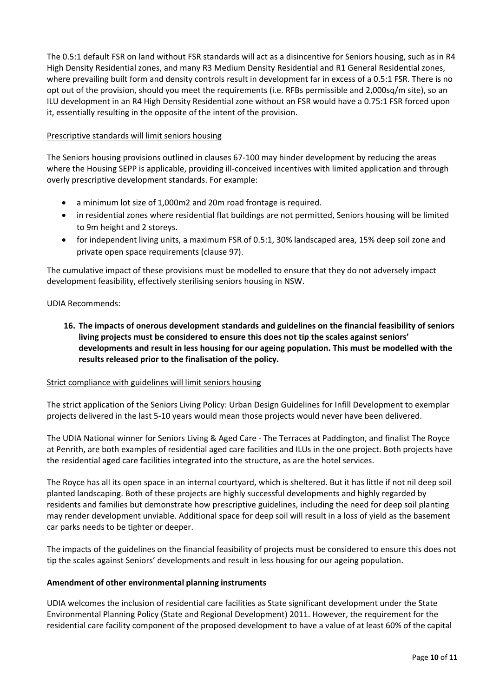The 0.5:1 default FSR on land without FSR standards will act as a disincentive for Seniors housing, such as in R4 High Density Residential zones, and many R3 Medium Density Residential and R1 General Residential zones, where prevailing built form and density controls result in development far in excess of a 0.5:1 FSR. There is no opt out of the provision, should you meet the requirements (i.e. RFBs permissible and 2,000sq/m site), so an ILU development in an R4 High Density Residential zone without an FSR would have a 0.75:1 FSR forced upon it, essentially resulting in the opposite of the intent of the provision.

## Prescriptive standards will limit seniors housing

The Seniors housing provisions outlined in clauses 67-100 may hinder development by reducing the areas where the Housing SEPP is applicable, providing ill-conceived incentives with limited application and through overly prescriptive development standards. For example:

- a minimum lot size of 1,000m2 and 20m road frontage is required.
- in residential zones where residential flat buildings are not permitted, Seniors housing will be limited to 9m height and 2 storeys.
- for independent living units, a maximum FSR of 0.5:1, 30% landscaped area, 15% deep soil zone and private open space requirements (clause 97).

The cumulative impact of these provisions must be modelled to ensure that they do not adversely impact development feasibility, effectively sterilising seniors housing in NSW.

### UDIA Recommends:

**16. The impacts of onerous development standards and guidelines on the financial feasibility of seniors living projects must be considered to ensure this does not tip the scales against seniors' developments and result in less housing for our ageing population. This must be modelled with the results released prior to the finalisation of the policy.**

### Strict compliance with guidelines will limit seniors housing

The strict application of the Seniors Living Policy: Urban Design Guidelines for Infill Development to exemplar projects delivered in the last 5-10 years would mean those projects would never have been delivered.

The UDIA National winner for Seniors Living & Aged Care - The Terraces at Paddington, and finalist The Royce at Penrith, are both examples of residential aged care facilities and ILUs in the one project. Both projects have the residential aged care facilities integrated into the structure, as are the hotel services.

The Royce has all its open space in an internal courtyard, which is sheltered. But it has little if not nil deep soil planted landscaping. Both of these projects are highly successful developments and highly regarded by residents and families but demonstrate how prescriptive guidelines, including the need for deep soil planting may render development unviable. Additional space for deep soil will result in a loss of yield as the basement car parks needs to be tighter or deeper.

The impacts of the guidelines on the financial feasibility of projects must be considered to ensure this does not tip the scales against Seniors' developments and result in less housing for our ageing population.

### **Amendment of other environmental planning instruments**

UDIA welcomes the inclusion of residential care facilities as State significant development under the State Environmental Planning Policy (State and Regional Development) 2011. However, the requirement for the residential care facility component of the proposed development to have a value of at least 60% of the capital